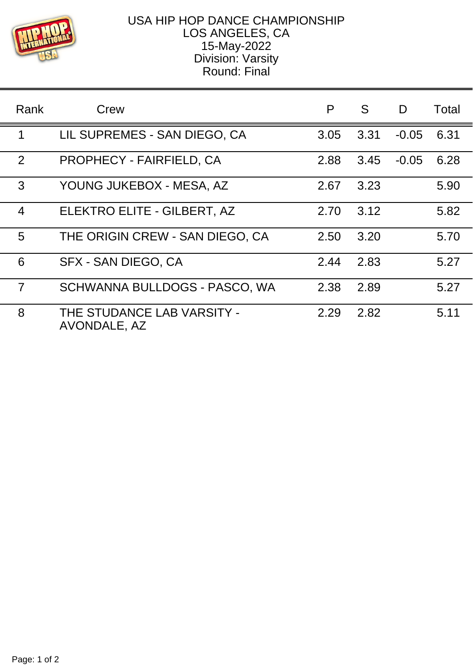

## USA HIP HOP DANCE CHAMPIONSHIP LOS ANGELES, CA 15-May-2022 Division: Varsity Round: Final

| Rank           | Crew                                       | P    | S.   | D       | Total |
|----------------|--------------------------------------------|------|------|---------|-------|
| 1              | LIL SUPREMES - SAN DIEGO, CA               | 3.05 | 3.31 | $-0.05$ | 6.31  |
| 2              | <b>PROPHECY - FAIRFIELD, CA</b>            | 2.88 | 3.45 | $-0.05$ | 6.28  |
| 3              | YOUNG JUKEBOX - MESA, AZ                   | 2.67 | 3.23 |         | 5.90  |
| $\overline{4}$ | ELEKTRO ELITE - GILBERT, AZ                | 2.70 | 3.12 |         | 5.82  |
| 5              | THE ORIGIN CREW - SAN DIEGO, CA            | 2.50 | 3.20 |         | 5.70  |
| 6              | SFX - SAN DIEGO, CA                        | 2.44 | 2.83 |         | 5.27  |
| $\overline{7}$ | SCHWANNA BULLDOGS - PASCO, WA              | 2.38 | 2.89 |         | 5.27  |
| 8              | THE STUDANCE LAB VARSITY -<br>AVONDALE, AZ | 2.29 | 2.82 |         | 5.11  |